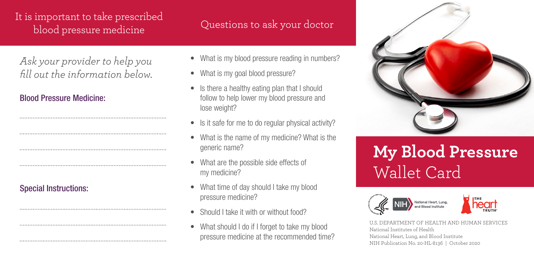## It is important to take prescribed blood pressure medicine

*Ask your provider to help you fill out the information below.*

## Blood Pressure Medicine:

Special Instructions:

## Questions to ask your doctor

- What is my blood pressure reading in numbers?
- What is my goal blood pressure?
- Is there a healthy eating plan that I should follow to help lower my blood pressure and lose weight?
- Is it safe for me to do regular physical activity?
- What is the name of my medicine? What is the generic name?
- What are the possible side effects of my medicine?
- What time of day should I take my blood pressure medicine?
- Should I take it with or without food?
- What should I do if I forget to take my blood pressure medicine at the recommended time?



## **My Blood Pressure**  Wallet Card





U.S. DEPARTMENT OF HEALTH AND HUMAN SERVICES National Institutes of Health National Heart, Lung, and Blood Institute NIH Publication No. 20-HL-8136 | October 2020